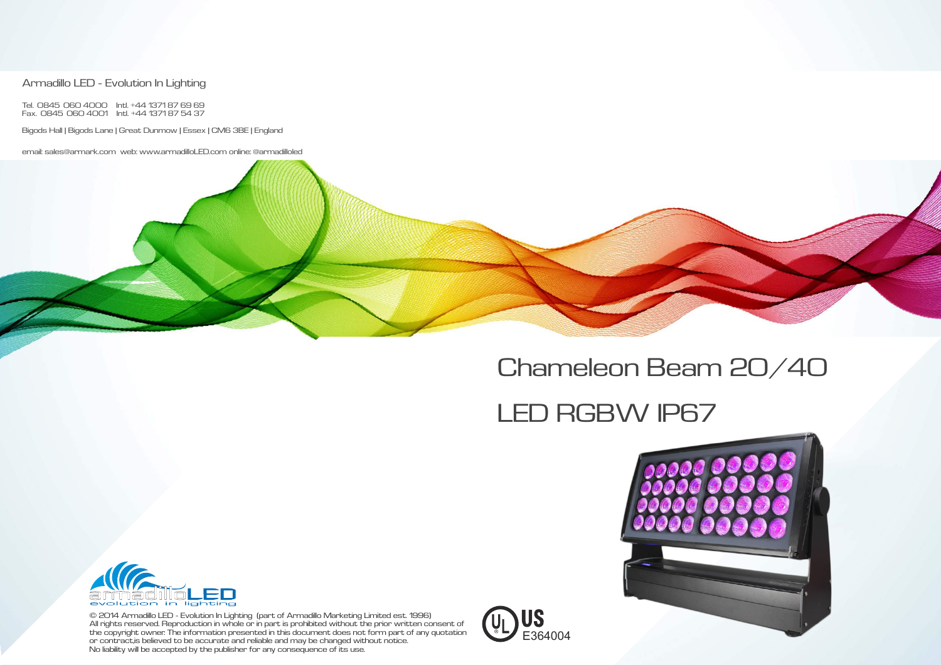© 2014 Armadillo LED - Evolution In Lighting (part of Armadillo Marketing Limited est. 1996) All rights reserved. Reproduction in whole or in part is prohibited without the prior written consent of the copyright owner. The information presented in this document does not form part of any quotation or contract ,is believed to be accurate and reliable and may be changed without notice. No liability will be accepted by the publisher for any consequence of its use.

### Armadillo LED - Evolution In Lighting

Tel. 0845 060 4000 Intl. +44 1371 87 69 69 Fax. 0845 060 4001 Intl. +44 1371 87 54 37

Bigods Hall | Bigods Lane | Great Dunmow | Essex | CM6 3BE | England

email: sales@armark.com web: www.armadilloLED.com online: @armadilloled





# Chameleon Beam 20/40

# LED RGBW IP67